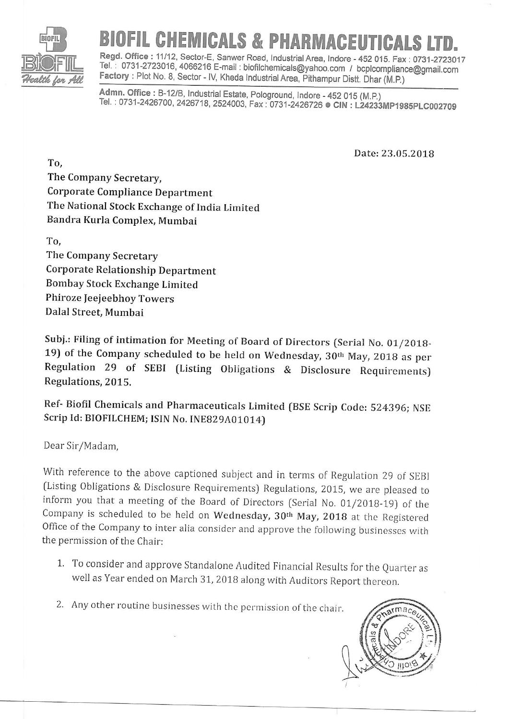

## **EMICALS & PHARMACEUTICALS**

Regd. Office : 11/12, Sector-E, Sanwer Road, Industrial Area, Indore - 452 015. Fax : 0731-2723017 Tel. : 0731-2723016, 4066216 E-mail : biofilchemicals@yahoo.com / bcplcompliance@gmail.com<br>Factory : Plot No. 8, Sector - IV, Kheda Industrial Area, Pithampur Distt. Dhar (M.P.)<br>Admn. Office : B-12/B, Industrial Estate, Po

Tel. : 0731-2426700, 2426718, 2524003, Fax : 0731-2426726 © CIN : L24233MP1985PLC002709

Date:23.05.2018

To, The Company Secretary, Corporate Compliance Department The National Stock Exchange of India Limited Bandra Kurla Complex, Mumbai

To, The Company Secretary Corporate Relationship Department Bombay Stock Exchange Limited Phiroze Jeejeebhoy Towers Dalal Street, Mumbai

Subj.: Filing of intimation for Meeting of Board of Directors (Serial No. 01/2018-19) of the Company scheduled to be held on Wednesday, 3Orh May, 201g as per Regulation 29 of sEBI (Listing obligations & Disclosure Requirements) Regulations, 2015.

Ref- Biofil chemicals and Pharmaceuricals Limired (BSE scrip code: 524396; NSE Scrip Id: BIOFILCHEM; ISIN No. INE829A01014)

Dear Sir/Madam,

with reference to the above captioned subject and in terms of Regulation 29 of SEBI (Listing Obligations & Disclosure Requirements) Regulations, 2015, we are pleased to inform you that a meeting of the Board of Directors (Serial No.  $01/2018-19$ ) of the Company is scheduled to be held on Wednesday, 30<sup>th</sup> May, 2018 at the Registered office of the company to inter alia consider and approve the following businesses with the permission of the Chair:

- 1. To consider and approve standalone Audited Financial Results for the Quarter as well as Year ended on March 31, 2018 along with Auditors Report thereon.
- 2. Any other routine businesses with the permission of the chair.